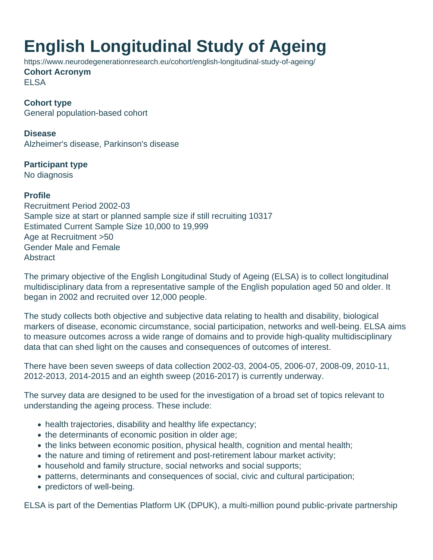## **English Longitudinal Study of Ageing**

https://www.neurodegenerationresearch.eu/cohort/english-longitudinal-study-of-ageing/

**Cohort Acronym** ELSA

**Cohort type** General population-based cohort

**Disease** Alzheimer's disease, Parkinson's disease

**Participant type** No diagnosis

## **Profile**

Recruitment Period 2002-03 Sample size at start or planned sample size if still recruiting 10317 Estimated Current Sample Size 10,000 to 19,999 Age at Recruitment >50 Gender Male and Female **Abstract** 

The primary objective of the English Longitudinal Study of Ageing (ELSA) is to collect longitudinal multidisciplinary data from a representative sample of the English population aged 50 and older. It began in 2002 and recruited over 12,000 people.

The study collects both objective and subjective data relating to health and disability, biological markers of disease, economic circumstance, social participation, networks and well-being. ELSA aims to measure outcomes across a wide range of domains and to provide high-quality multidisciplinary data that can shed light on the causes and consequences of outcomes of interest.

There have been seven sweeps of data collection 2002-03, 2004-05, 2006-07, 2008-09, 2010-11, 2012-2013, 2014-2015 and an eighth sweep (2016-2017) is currently underway.

The survey data are designed to be used for the investigation of a broad set of topics relevant to understanding the ageing process. These include:

- health trajectories, disability and healthy life expectancy;
- the determinants of economic position in older age;
- the links between economic position, physical health, cognition and mental health;
- the nature and timing of retirement and post-retirement labour market activity;
- household and family structure, social networks and social supports;
- patterns, determinants and consequences of social, civic and cultural participation;
- predictors of well-being.

ELSA is part of the Dementias Platform UK (DPUK), a multi-million pound public-private partnership